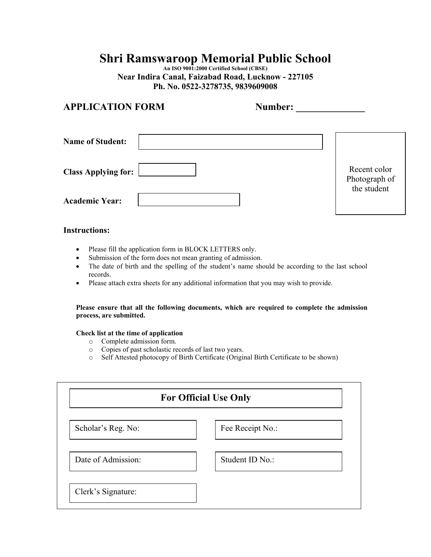# **Shri Ramswaroop Memorial Public School**

**An ISO 9001:2000 Certified School (CBSE) Near Indira Canal, Faizabad Road, Lucknow - 227105 Ph. No. 0522-3278735, 9839609008**

## **APPLICATION FORM Number:**

| <b>Name of Student:</b>    |                               |
|----------------------------|-------------------------------|
| <b>Class Applying for:</b> | Recent color<br>Photograph of |
| <b>Academic Year:</b>      | the student                   |

#### **Instructions:**

- Please fill the application form in BLOCK LETTERS only.
- Submission of the form does not mean granting of admission.
- The date of birth and the spelling of the student's name should be according to the last school records.
- Please attach extra sheets for any additional information that you may wish to provide.

**Please ensure that all the following documents, which are required to complete the admission process, are submitted.** 

#### **Check list at the time of application**

- o Complete admission form.
- o Copies of past scholastic records of last two years.
- o Self Attested photocopy of Birth Certificate (Original Birth Certificate to be shown)

| <b>For Official Use Only</b> |                  |  |
|------------------------------|------------------|--|
| Scholar's Reg. No:           | Fee Receipt No.: |  |
| Date of Admission:           | Student ID No.:  |  |
| Clerk's Signature:           |                  |  |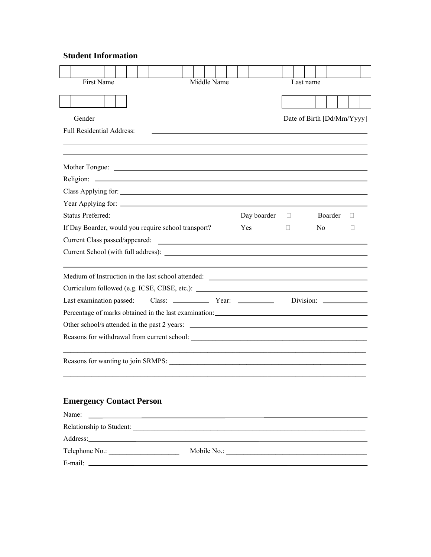## **Student Information**

| <b>First Name</b><br>Middle Name                                                                                                                       |             | Last name                  |        |
|--------------------------------------------------------------------------------------------------------------------------------------------------------|-------------|----------------------------|--------|
|                                                                                                                                                        |             |                            |        |
| Gender                                                                                                                                                 |             | Date of Birth [Dd/Mm/Yyyy] |        |
| <b>Full Residential Address:</b>                                                                                                                       |             |                            |        |
|                                                                                                                                                        |             |                            |        |
|                                                                                                                                                        |             |                            |        |
|                                                                                                                                                        |             |                            |        |
|                                                                                                                                                        |             |                            |        |
|                                                                                                                                                        |             |                            |        |
|                                                                                                                                                        |             |                            |        |
| <b>Status Preferred:</b>                                                                                                                               | Day boarder | <b>Boarder</b><br>П.       | $\Box$ |
| If Day Boarder, would you require school transport?                                                                                                    | Yes         | No.<br>П                   | П      |
| Current Class passed/appeared:<br><u> Alexandria de la contrada de la contrada de la contrada de la contrada de la contrada de la contrada de la c</u> |             |                            |        |
|                                                                                                                                                        |             |                            |        |
|                                                                                                                                                        |             |                            |        |
|                                                                                                                                                        |             |                            |        |
| Last examination passed:                                                                                                                               |             |                            |        |
| Percentage of marks obtained in the last examination: ___________________________                                                                      |             |                            |        |
|                                                                                                                                                        |             |                            |        |
|                                                                                                                                                        |             |                            |        |
|                                                                                                                                                        |             |                            |        |
|                                                                                                                                                        |             |                            |        |

## **Emergency Contact Person**

| Name:<br><u> 1980 - Andrea Andrew Amerikaanse kommunister († 1950)</u> |                                                      |
|------------------------------------------------------------------------|------------------------------------------------------|
|                                                                        |                                                      |
|                                                                        |                                                      |
| Telephone No.:                                                         | Mobile No.: <u>_________________________________</u> |
| E-mail: $\qquad \qquad$                                                |                                                      |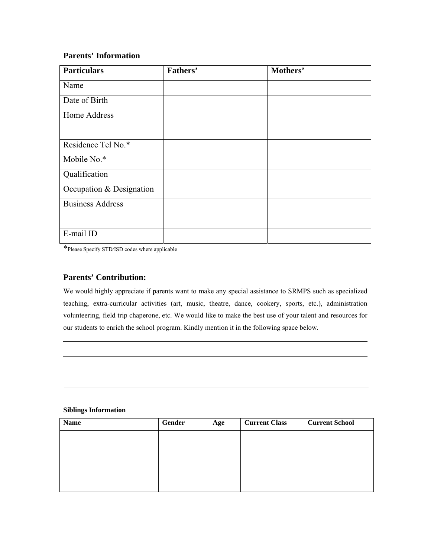### **Parents' Information**

| <b>Particulars</b>       | Fathers' | Mothers' |
|--------------------------|----------|----------|
| Name                     |          |          |
| Date of Birth            |          |          |
| Home Address             |          |          |
|                          |          |          |
| Residence Tel No.*       |          |          |
| Mobile No.*              |          |          |
| Qualification            |          |          |
| Occupation & Designation |          |          |
| <b>Business Address</b>  |          |          |
| E-mail ID                |          |          |

\*Please Specify STD/ISD codes where applicable

### **Parents' Contribution:**

We would highly appreciate if parents want to make any special assistance to SRMPS such as specialized teaching, extra-curricular activities (art, music, theatre, dance, cookery, sports, etc.), administration volunteering, field trip chaperone, etc. We would like to make the best use of your talent and resources for our students to enrich the school program. Kindly mention it in the following space below.

#### **Siblings Information**

| <b>Name</b> | Gender | Age | <b>Current Class</b> | <b>Current School</b> |
|-------------|--------|-----|----------------------|-----------------------|
|             |        |     |                      |                       |
|             |        |     |                      |                       |
|             |        |     |                      |                       |
|             |        |     |                      |                       |
|             |        |     |                      |                       |